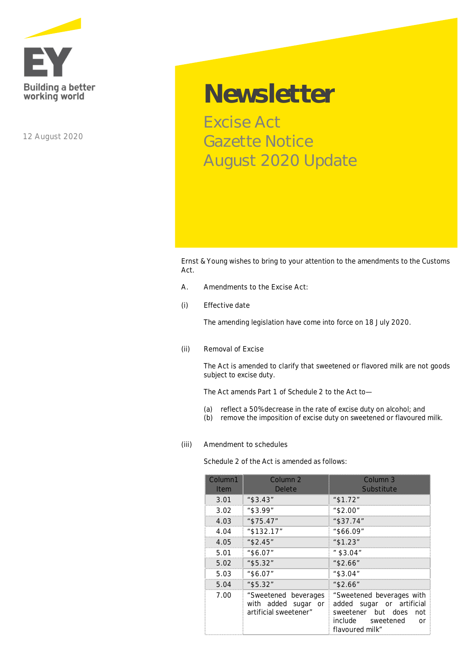

**12 August 2020**

## **Newsletter**

Excise Act Gazette Notice August 2020 Update

Ernst & Young wishes to bring to your attention to the amendments to the Customs Act.

- **A. Amendments to the Excise Act:**
- **(i) Effective date**

The amending legislation have come into force on 18 July 2020*.*

**(ii) Removal of Excise**

The Act is amended to clarify that sweetened or flavored milk are not goods subject to excise duty*.*

The Act amends Part 1 of Schedule 2 to the Act to—

- (a) reflect a 50% decrease in the rate of excise duty on alcohol; and
- (b) remove the imposition of excise duty on sweetened or flavoured milk.
- **(iii) Amendment to schedules**

Schedule 2 of the Act is amended as follows:

| Column1<br><b>Item</b> | Column 2<br>Delete                                                   | Column 3<br>Substitute                                                                                                            |
|------------------------|----------------------------------------------------------------------|-----------------------------------------------------------------------------------------------------------------------------------|
| 3.01                   | " \$3.43"                                                            | " \$1.72"                                                                                                                         |
| 3.02                   | $"$ \$3.99"                                                          | "\$2.00"                                                                                                                          |
| 4.03                   | "\$75.47"                                                            | "\$37.74"                                                                                                                         |
| 4.04                   | "\$132.17"                                                           | "\$66.09"                                                                                                                         |
| 4.05                   | " \$2.45"                                                            | " \$1.23"                                                                                                                         |
| 5.01                   | "\$6.07"                                                             | " \$3.04″                                                                                                                         |
| 5.02                   | "\$5.32"                                                             | "\$2.66"                                                                                                                          |
| 5.03                   | "\$6.07"                                                             | "\$3.04"                                                                                                                          |
| 5.04                   | "\$5.32"                                                             | "\$2.66"                                                                                                                          |
| 7.00                   | "Sweetened beverages<br>with added sugar or<br>artificial sweetener" | "Sweetened beverages with<br>added sugar or artificial<br>sweetener but does<br>not<br>include sweetened<br>nr<br>flavoured milk" |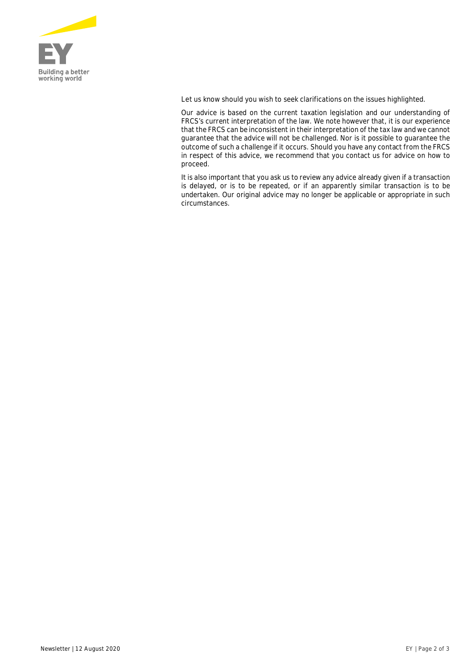

Let us know should you wish to seek clarifications on the issues highlighted.

*Our advice is based on the current taxation legislation and our understanding of FRCS's current interpretation of the law. We note however that, it is our experience that the FRCS can be inconsistent in their interpretation of the tax law and we cannot guarantee that the advice will not be challenged. Nor is it possible to guarantee the outcome of such a challenge if it occurs. Should you have any contact from the FRCS in respect of this advice, we recommend that you contact us for advice on how to proceed.*

*It is also important that you ask us to review any advice already given if a transaction is delayed, or is to be repeated, or if an apparently similar transaction is to be undertaken. Our original advice may no longer be applicable or appropriate in such circumstances.*